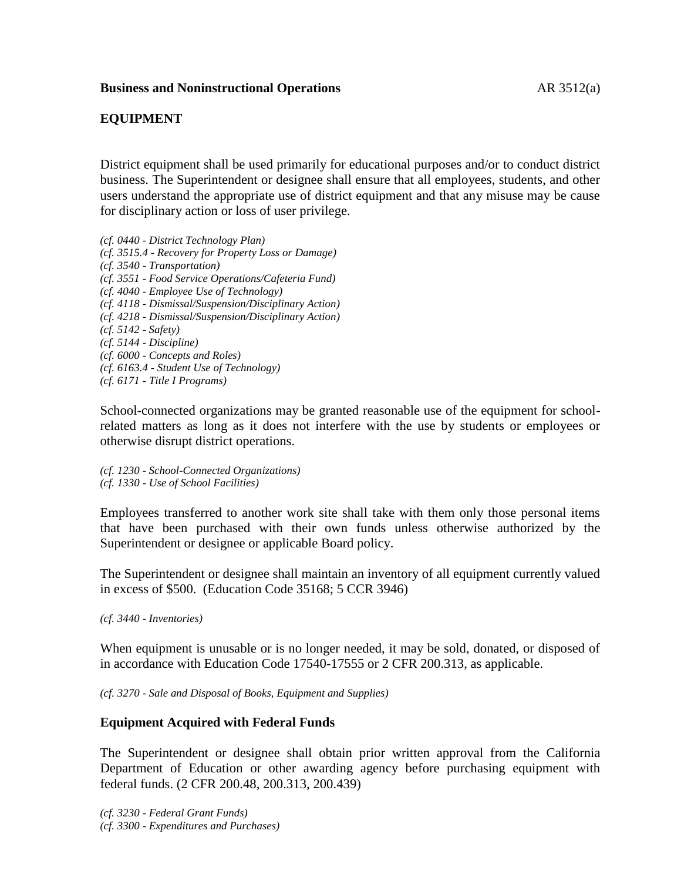## **EQUIPMENT**

District equipment shall be used primarily for educational purposes and/or to conduct district business. The Superintendent or designee shall ensure that all employees, students, and other users understand the appropriate use of district equipment and that any misuse may be cause for disciplinary action or loss of user privilege.

*(cf. 0440 - District Technology Plan) (cf. 3515.4 - Recovery for Property Loss or Damage) (cf. 3540 - Transportation) (cf. 3551 - Food Service Operations/Cafeteria Fund) (cf. 4040 - Employee Use of Technology) (cf. 4118 - Dismissal/Suspension/Disciplinary Action) (cf. 4218 - Dismissal/Suspension/Disciplinary Action) (cf. 5142 - Safety) (cf. 5144 - Discipline) (cf. 6000 - Concepts and Roles) (cf. 6163.4 - Student Use of Technology) (cf. 6171 - Title I Programs)*

School-connected organizations may be granted reasonable use of the equipment for schoolrelated matters as long as it does not interfere with the use by students or employees or otherwise disrupt district operations.

*(cf. 1230 - School-Connected Organizations) (cf. 1330 - Use of School Facilities)*

Employees transferred to another work site shall take with them only those personal items that have been purchased with their own funds unless otherwise authorized by the Superintendent or designee or applicable Board policy.

The Superintendent or designee shall maintain an inventory of all equipment currently valued in excess of \$500. (Education Code 35168; 5 CCR 3946)

*(cf. 3440 - Inventories)*

When equipment is unusable or is no longer needed, it may be sold, donated, or disposed of in accordance with Education Code 17540-17555 or 2 CFR 200.313, as applicable.

*(cf. 3270 - Sale and Disposal of Books, Equipment and Supplies)*

### **Equipment Acquired with Federal Funds**

The Superintendent or designee shall obtain prior written approval from the California Department of Education or other awarding agency before purchasing equipment with federal funds. (2 CFR 200.48, 200.313, 200.439)

*(cf. 3230 - Federal Grant Funds) (cf. 3300 - Expenditures and Purchases)*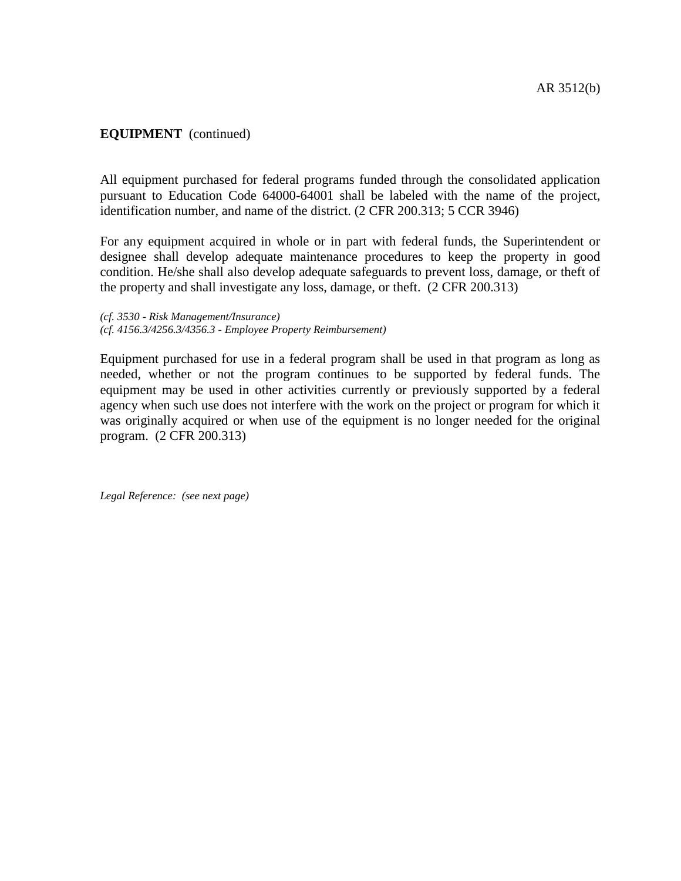### **EQUIPMENT** (continued)

All equipment purchased for federal programs funded through the consolidated application pursuant to Education Code 64000-64001 shall be labeled with the name of the project, identification number, and name of the district. (2 CFR 200.313; 5 CCR 3946)

For any equipment acquired in whole or in part with federal funds, the Superintendent or designee shall develop adequate maintenance procedures to keep the property in good condition. He/she shall also develop adequate safeguards to prevent loss, damage, or theft of the property and shall investigate any loss, damage, or theft. (2 CFR 200.313)

*(cf. 3530 - Risk Management/Insurance) (cf. 4156.3/4256.3/4356.3 - Employee Property Reimbursement)*

Equipment purchased for use in a federal program shall be used in that program as long as needed, whether or not the program continues to be supported by federal funds. The equipment may be used in other activities currently or previously supported by a federal agency when such use does not interfere with the work on the project or program for which it was originally acquired or when use of the equipment is no longer needed for the original program. (2 CFR 200.313)

*Legal Reference: (see next page)*